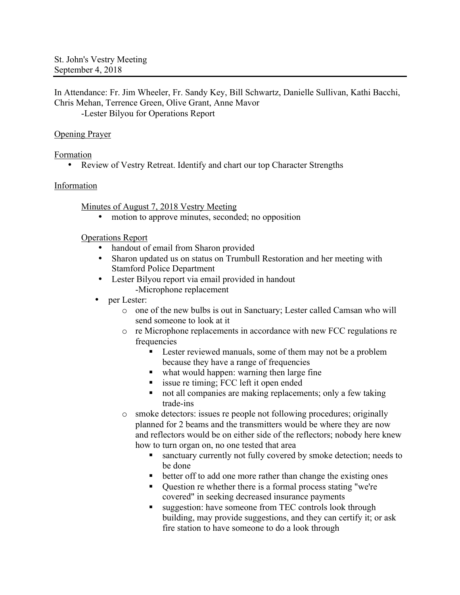In Attendance: Fr. Jim Wheeler, Fr. Sandy Key, Bill Schwartz, Danielle Sullivan, Kathi Bacchi, Chris Mehan, Terrence Green, Olive Grant, Anne Mavor

-Lester Bilyou for Operations Report

### Opening Prayer

Formation

• Review of Vestry Retreat. Identify and chart our top Character Strengths

### Information

#### Minutes of August 7, 2018 Vestry Meeting

• motion to approve minutes, seconded; no opposition

Operations Report

- handout of email from Sharon provided
- Sharon updated us on status on Trumbull Restoration and her meeting with Stamford Police Department
- Lester Bilyou report via email provided in handout -Microphone replacement
- per Lester:
	- o one of the new bulbs is out in Sanctuary; Lester called Camsan who will send someone to look at it
	- o re Microphone replacements in accordance with new FCC regulations re frequencies
		- Lester reviewed manuals, some of them may not be a problem because they have a range of frequencies
		- what would happen: warning then large fine
		- issue re timing; FCC left it open ended
		- not all companies are making replacements; only a few taking trade-ins
	- o smoke detectors: issues re people not following procedures; originally planned for 2 beams and the transmitters would be where they are now and reflectors would be on either side of the reflectors; nobody here knew how to turn organ on, no one tested that area
		- ! sanctuary currently not fully covered by smoke detection; needs to be done
		- ! better off to add one more rather than change the existing ones
		- ! Question re whether there is a formal process stating "we're covered" in seeking decreased insurance payments
		- ! suggestion: have someone from TEC controls look through building, may provide suggestions, and they can certify it; or ask fire station to have someone to do a look through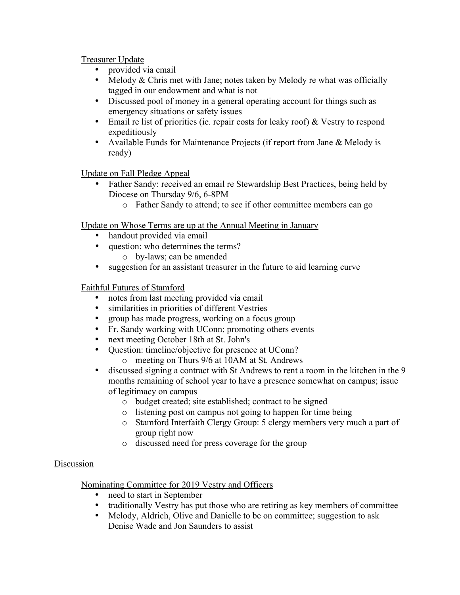Treasurer Update

- provided via email
- Melody & Chris met with Jane; notes taken by Melody re what was officially tagged in our endowment and what is not
- Discussed pool of money in a general operating account for things such as emergency situations or safety issues
- Email re list of priorities (ie. repair costs for leaky roof) & Vestry to respond expeditiously
- Available Funds for Maintenance Projects (if report from Jane & Melody is ready)

Update on Fall Pledge Appeal

- Father Sandy: received an email re Stewardship Best Practices, being held by Diocese on Thursday 9/6, 6-8PM
	- o Father Sandy to attend; to see if other committee members can go

Update on Whose Terms are up at the Annual Meeting in January

- handout provided via email
- question: who determines the terms?
	- o by-laws; can be amended
- suggestion for an assistant treasurer in the future to aid learning curve

Faithful Futures of Stamford

- notes from last meeting provided via email
- similarities in priorities of different Vestries
- group has made progress, working on a focus group
- Fr. Sandy working with UConn; promoting others events
- next meeting October 18th at St. John's
- Question: timeline/objective for presence at UConn?
	- o meeting on Thurs 9/6 at 10AM at St. Andrews
- discussed signing a contract with St Andrews to rent a room in the kitchen in the 9 months remaining of school year to have a presence somewhat on campus; issue of legitimacy on campus
	- o budget created; site established; contract to be signed
	- o listening post on campus not going to happen for time being
	- o Stamford Interfaith Clergy Group: 5 clergy members very much a part of group right now
	- o discussed need for press coverage for the group

### Discussion

Nominating Committee for 2019 Vestry and Officers

- need to start in September
- traditionally Vestry has put those who are retiring as key members of committee
- Melody, Aldrich, Olive and Danielle to be on committee; suggestion to ask Denise Wade and Jon Saunders to assist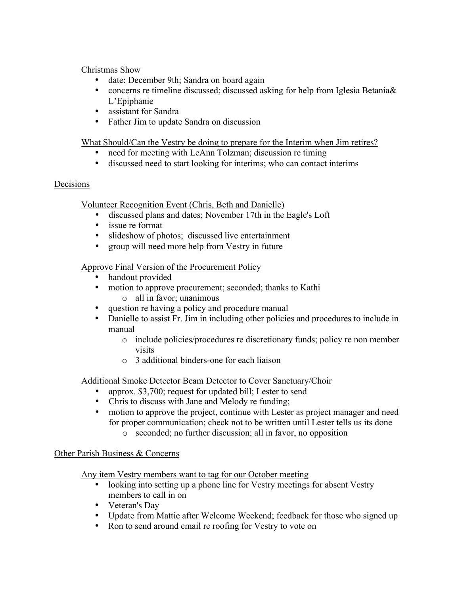### Christmas Show

- date: December 9th; Sandra on board again
- concerns re timeline discussed; discussed asking for help from Iglesia Betania & L'Epiphanie
- assistant for Sandra
- Father Jim to update Sandra on discussion

## What Should/Can the Vestry be doing to prepare for the Interim when Jim retires?

- need for meeting with LeAnn Tolzman; discussion re timing<br>• discussed need to start looking for interims; who can contact
- discussed need to start looking for interims; who can contact interims

## Decisions

Volunteer Recognition Event (Chris, Beth and Danielle)

- discussed plans and dates; November 17th in the Eagle's Loft
- issue re format
- slideshow of photos; discussed live entertainment
- group will need more help from Vestry in future

## Approve Final Version of the Procurement Policy

- handout provided
- motion to approve procurement; seconded; thanks to Kathi
	- o all in favor; unanimous
- question re having a policy and procedure manual
- Danielle to assist Fr. Jim in including other policies and procedures to include in manual
	- o include policies/procedures re discretionary funds; policy re non member visits
	- o 3 additional binders-one for each liaison

Additional Smoke Detector Beam Detector to Cover Sanctuary/Choir

- approx. \$3,700; request for updated bill; Lester to send
- Chris to discuss with Jane and Melody re funding;
- motion to approve the project, continue with Lester as project manager and need for proper communication; check not to be written until Lester tells us its done
	- o seconded; no further discussion; all in favor, no opposition

### Other Parish Business & Concerns

Any item Vestry members want to tag for our October meeting

- looking into setting up a phone line for Vestry meetings for absent Vestry members to call in on
- Veteran's Day
- Update from Mattie after Welcome Weekend; feedback for those who signed up
- Ron to send around email re roofing for Vestry to vote on